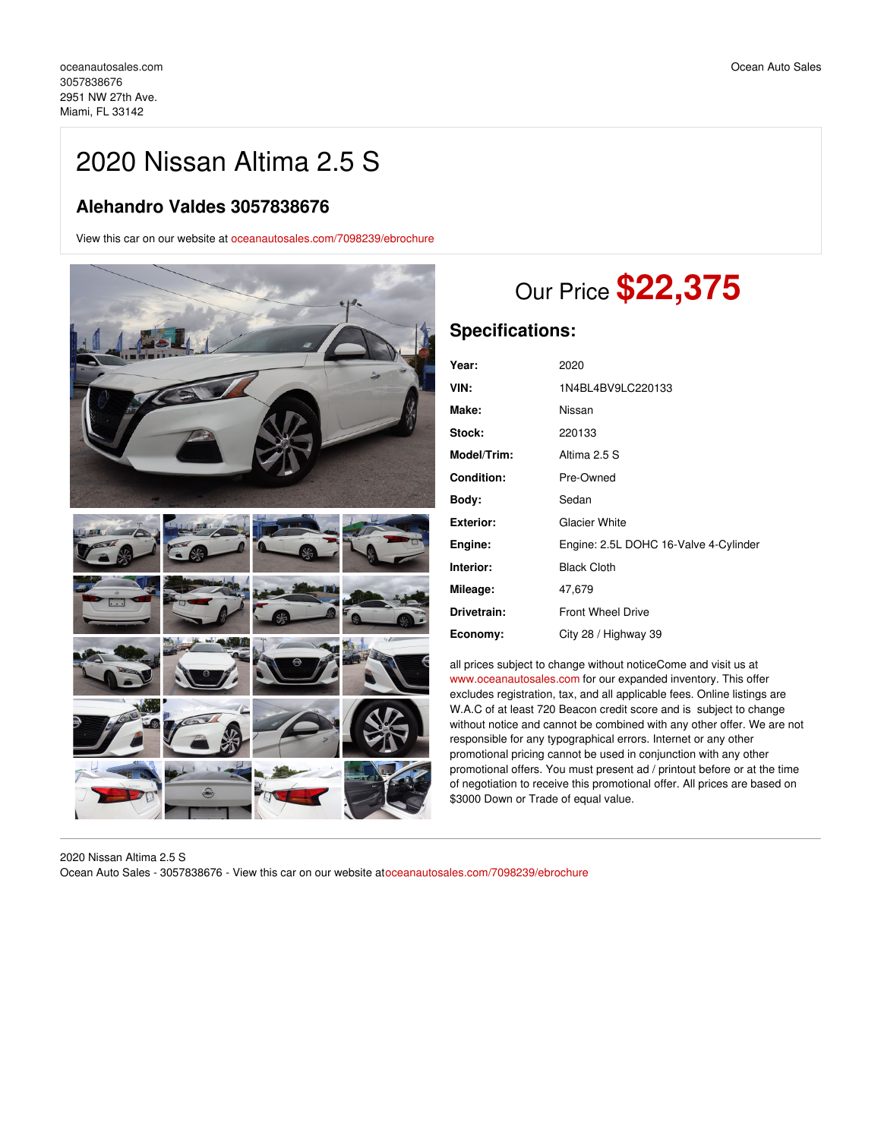## 2020 Nissan Altima 2.5 S

## **Alehandro Valdes 3057838676**

View this car on our website at [oceanautosales.com/7098239/ebrochure](https://oceanautosales.com/vehicle/7098239/2020-nissan-altima-2-5-s-miami-fl-33142/7098239/ebrochure)



# Our Price **\$22,375**

## **Specifications:**

| Year:              | 2020                                  |
|--------------------|---------------------------------------|
| VIN:               | 1N4BL4BV9LC220133                     |
| Make:              | Nissan                                |
| <b>Stock:</b>      | 220133                                |
| <b>Model/Trim:</b> | Altima 2.5 S                          |
| <b>Condition:</b>  | Pre-Owned                             |
| Body:              | Sedan                                 |
| Exterior:          | <b>Glacier White</b>                  |
| Engine:            | Engine: 2.5L DOHC 16-Valve 4-Cylinder |
| Interior:          | <b>Black Cloth</b>                    |
| Mileage:           | 47,679                                |
| Drivetrain:        | <b>Front Wheel Drive</b>              |
| Economy:           | City 28 / Highway 39                  |

all prices subject to change without noticeCome and visit us at [www.oceanautosales.com](http://www.oceanautosales.com) for our expanded inventory. This offer excludes registration, tax, and all applicable fees. Online listings are W.A.C of at least 720 Beacon credit score and is subject to change without notice and cannot be combined with any other offer. We are not responsible for any typographical errors. Internet or any other promotional pricing cannot be used in conjunction with any other promotional offers. You must present ad / printout before or at the time of negotiation to receive this promotional offer. All prices are based on \$3000 Down or Trade of equal value.

2020 Nissan Altima 2.5 S Ocean Auto Sales - 3057838676 - View this car on our website at[oceanautosales.com/7098239/ebrochure](https://oceanautosales.com/vehicle/7098239/2020-nissan-altima-2-5-s-miami-fl-33142/7098239/ebrochure)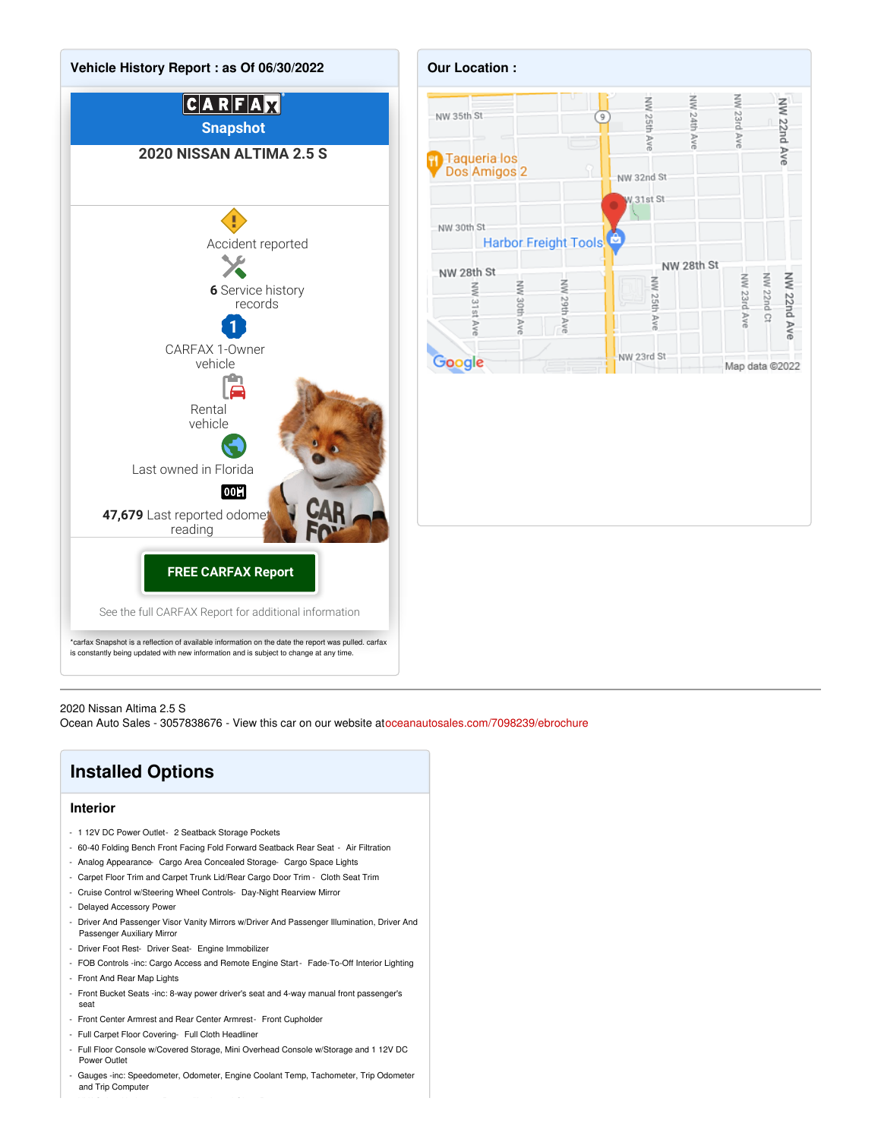



#### 2020 Nissan Altima 2.5 S

Ocean Auto Sales - 3057838676 - View this car on our website at[oceanautosales.com/7098239/ebrochure](https://oceanautosales.com/vehicle/7098239/2020-nissan-altima-2-5-s-miami-fl-33142/7098239/ebrochure)

## **Installed Options**

#### **Interior**

- 1 12V DC Power Outlet- 2 Seatback Storage Pockets
- 60-40 Folding Bench Front Facing Fold Forward Seatback Rear Seat Air Filtration
- Analog Appearance- Cargo Area Concealed Storage- Cargo Space Lights
- Carpet Floor Trim and Carpet Trunk Lid/Rear Cargo Door Trim Cloth Seat Trim
- Cruise Control w/Steering Wheel Controls- Day-Night Rearview Mirror
- Delayed Accessory Power
- Driver And Passenger Visor Vanity Mirrors w/Driver And Passenger Illumination, Driver And Passenger Auxiliary Mirror
- Driver Foot Rest- Driver Seat- Engine Immobilizer
- FOB Controls -inc: Cargo Access and Remote Engine Start- Fade-To-Off Interior Lighting
- Front And Rear Map Lights
- Front Bucket Seats -inc: 8-way power driver's seat and 4-way manual front passenger's seat
- Front Center Armrest and Rear Center Armrest- Front Cupholder
- Full Carpet Floor Covering- Full Cloth Headliner
- Full Floor Console w/Covered Storage, Mini Overhead Console w/Storage and 1 12V DC Power Outlet
- Gauges -inc: Speedometer, Odometer, Engine Coolant Temp, Tachometer, Trip Odometer and Trip Computer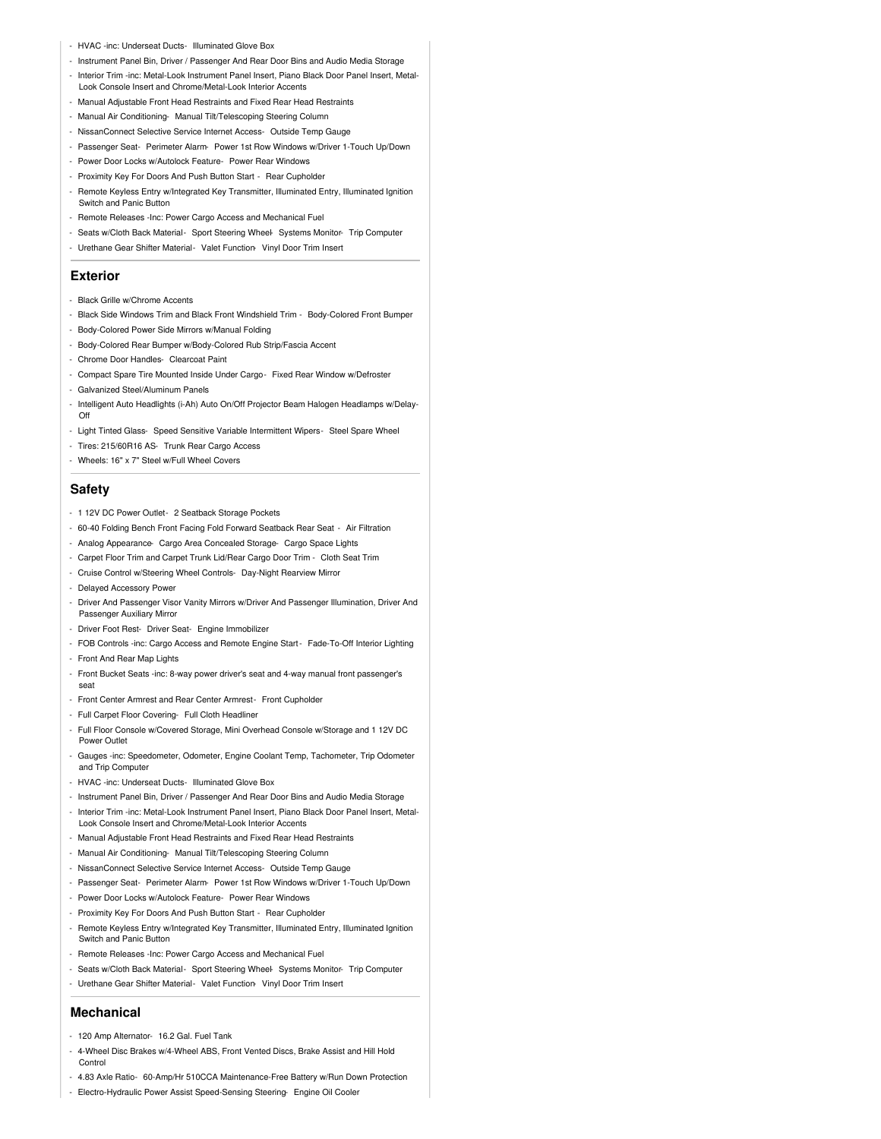- HVAC -inc: Underseat Ducts- Illuminated Glove Box
- Instrument Panel Bin, Driver / Passenger And Rear Door Bins and Audio Media Storage
- Interior Trim -inc: Metal-Look Instrument Panel Insert, Piano Black Door Panel Insert, Metal-Look Console Insert and Chrome/Metal-Look Interior Accents
- Manual Adjustable Front Head Restraints and Fixed Rear Head Restraints
- Manual Air Conditioning- Manual Tilt/Telescoping Steering Column
- NissanConnect Selective Service Internet Access- Outside Temp Gauge
- Passenger Seat- Perimeter Alarm- Power 1st Row Windows w/Driver 1-Touch Up/Down
- Power Door Locks w/Autolock Feature- Power Rear Windows
- Proximity Key For Doors And Push Button Start Rear Cupholder
- Remote Keyless Entry w/Integrated Key Transmitter, Illuminated Entry, Illuminated Ignition Switch and Panic Button
- Remote Releases -Inc: Power Cargo Access and Mechanical Fuel
- Seats w/Cloth Back Material- Sport Steering Wheel- Systems Monitor- Trip Computer
- Urethane Gear Shifter Material- Valet Function- Vinyl Door Trim Insert

#### **Exterior**

- Black Grille w/Chrome Accents
- Black Side Windows Trim and Black Front Windshield Trim Body-Colored Front Bumper
- Body-Colored Power Side Mirrors w/Manual Folding
- Body-Colored Rear Bumper w/Body-Colored Rub Strip/Fascia Accent
- Chrome Door Handles- Clearcoat Paint
- Compact Spare Tire Mounted Inside Under Cargo- Fixed Rear Window w/Defroster
- Galvanized Steel/Aluminum Panels
- Intelligent Auto Headlights (i-Ah) Auto On/Off Projector Beam Halogen Headlamps w/Delay- $\bigcap_{i=1}^{n}$
- Light Tinted Glass- Speed Sensitive Variable Intermittent Wipers- Steel Spare Wheel
- Tires: 215/60R16 AS- Trunk Rear Cargo Access
- Wheels: 16" x 7" Steel w/Full Wheel Covers

## **Safety**

- 1 12V DC Power Outlet- 2 Seatback Storage Pockets
- 60-40 Folding Bench Front Facing Fold Forward Seatback Rear Seat Air Filtration
- Analog Appearance- Cargo Area Concealed Storage- Cargo Space Lights
- Carpet Floor Trim and Carpet Trunk Lid/Rear Cargo Door Trim Cloth Seat Trim
- Cruise Control w/Steering Wheel Controls- Day-Night Rearview Mirror
- Delayed Accessory Power
- Driver And Passenger Visor Vanity Mirrors w/Driver And Passenger Illumination, Driver And Passenger Auxiliary Mirror
- Driver Foot Rest- Driver Seat- Engine Immobilizer
- FOB Controls -inc: Cargo Access and Remote Engine Start- Fade-To-Off Interior Lighting
- Front And Rear Map Lights
- Front Bucket Seats -inc: 8-way power driver's seat and 4-way manual front passenger's seat
- Front Center Armrest and Rear Center Armrest- Front Cupholder
- Full Carpet Floor Covering- Full Cloth Headliner
- Full Floor Console w/Covered Storage, Mini Overhead Console w/Storage and 1 12V DC Power Outlet
- Gauges -inc: Speedometer, Odometer, Engine Coolant Temp, Tachometer, Trip Odometer and Trip Computer
- HVAC -inc: Underseat Ducts- Illuminated Glove Box
- Instrument Panel Bin, Driver / Passenger And Rear Door Bins and Audio Media Storage
- Interior Trim -inc: Metal-Look Instrument Panel Insert, Piano Black Door Panel Insert, Metal-Look Console Insert and Chrome/Metal-Look Interior Accents
- Manual Adjustable Front Head Restraints and Fixed Rear Head Restraints
- Manual Air Conditioning- Manual Tilt/Telescoping Steering Column
- NissanConnect Selective Service Internet Access- Outside Temp Gauge
- Passenger Seat- Perimeter Alarm- Power 1st Row Windows w/Driver 1-Touch Up/Down
- Power Door Locks w/Autolock Feature- Power Rear Windows
- Proximity Key For Doors And Push Button Start Rear Cupholder
- Remote Keyless Entry w/Integrated Key Transmitter, Illuminated Entry, Illuminated Ignition Switch and Panic Button
- Remote Releases -Inc: Power Cargo Access and Mechanical Fuel
- Seats w/Cloth Back Material- Sport Steering Wheel- Systems Monitor- Trip Computer
- Urethane Gear Shifter Material- Valet Function- Vinyl Door Trim Insert

### **Mechanical**

- 120 Amp Alternator- 16.2 Gal. Fuel Tank
- 4-Wheel Disc Brakes w/4-Wheel ABS, Front Vented Discs, Brake Assist and Hill Hold **Control**
- 4.83 Axle Ratio- 60-Amp/Hr 510CCA Maintenance-Free Battery w/Run Down Protection
- Electro-Hydraulic Power Assist Speed-Sensing Steering- Engine Oil Cooler